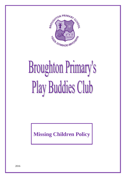

## **Broughton Primary's** Play Buddies Club

**Missing Children Policy**